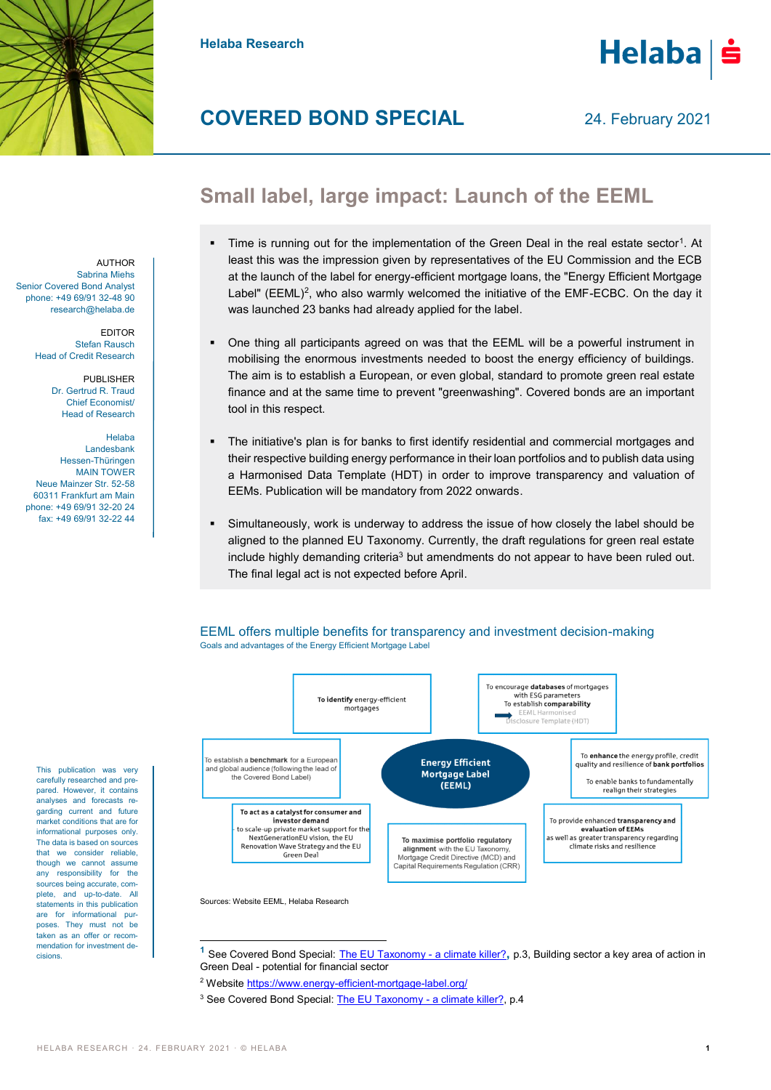

AUTHOR Sabrina Miehs

EDITOR Stefan Rausch Head of Credit Research

> PUBLISHER Dr. Gertrud R. Traud Chief Economist/ Head of Research

Helaba Landesbank Hessen-Thüringen MAIN TOWER Neue Mainzer Str. 52-58 60311 Frankfurt am Main phone: +49 69/91 32-20 24 fax: +49 69/91 32-22 44

Senior Covered Bond Analyst phone: +49 69/91 32-48 90 research@helaba.de **Helaba Research**

## **COVERED BOND SPECIAL**

24. February 2021

## **Small label, large impact: Launch of the EEML**

- Time is running out for the implementation of the Green Deal in the real estate sector<sup>1</sup>. At least this was the impression given by representatives of the EU Commission and the ECB at the launch of the label for energy-efficient mortgage loans, the "Energy Efficient Mortgage Label" (EEML)<sup>2</sup>, who also warmly welcomed the initiative of the EMF-ECBC. On the day it was launched 23 banks had already applied for the label.
- One thing all participants agreed on was that the EEML will be a powerful instrument in mobilising the enormous investments needed to boost the energy efficiency of buildings. The aim is to establish a European, or even global, standard to promote green real estate finance and at the same time to prevent "greenwashing". Covered bonds are an important tool in this respect.
- The initiative's plan is for banks to first identify residential and commercial mortgages and their respective building energy performance in their loan portfolios and to publish data using a Harmonised Data Template (HDT) in order to improve transparency and valuation of EEMs. Publication will be mandatory from 2022 onwards.
- Simultaneously, work is underway to address the issue of how closely the label should be aligned to the planned EU Taxonomy. Currently, the draft regulations for green real estate include highly demanding criteria<sup>3</sup> but amendments do not appear to have been ruled out. The final legal act is not expected before April.

EEML offers multiple benefits for transparency and investment decision-making Goals and advantages of the Energy Efficient Mortgage Label





**<sup>1</sup>** See Covered Bond Special: [The EU Taxonomy -](https://www.helaba.de/blueprint/servlet/resource/blob/docs/541372/46aa4a2bfe8eaa90f9a4dbaea713bb14/cbs-20201216-data.pdf) a climate killer?**,** p.3, Building sector a key area of action in Green Deal - potential for financial sector

- <sup>2</sup> Website https://www.energy-efficient-mortgage-label.org/
- <sup>3</sup> See Covered Bond Special: [The EU Taxonomy -](https://www.helaba.de/blueprint/servlet/resource/blob/docs/541372/46aa4a2bfe8eaa90f9a4dbaea713bb14/cbs-20201216-data.pdf) a climate killer?, p.4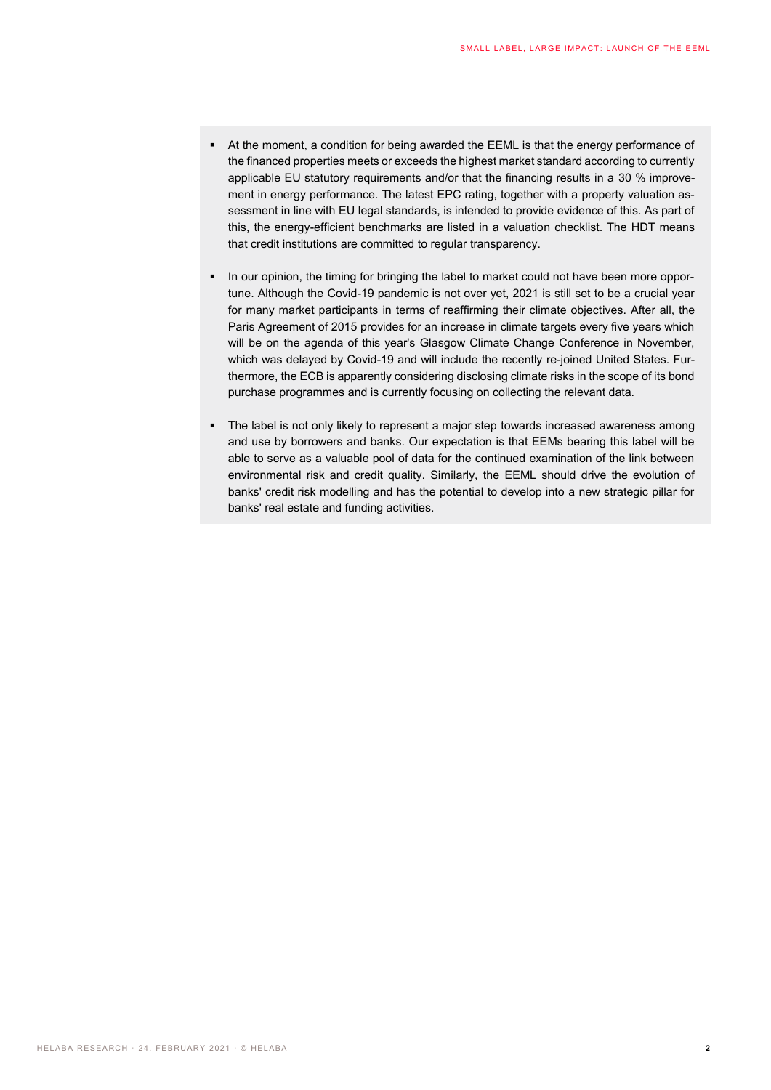- At the moment, a condition for being awarded the EEML is that the energy performance of the financed properties meets or exceeds the highest market standard according to currently applicable EU statutory requirements and/or that the financing results in a 30 % improvement in energy performance. The latest EPC rating, together with a property valuation assessment in line with EU legal standards, is intended to provide evidence of this. As part of this, the energy-efficient benchmarks are listed in a valuation checklist. The HDT means that credit institutions are committed to regular transparency.
- In our opinion, the timing for bringing the label to market could not have been more opportune. Although the Covid-19 pandemic is not over yet, 2021 is still set to be a crucial year for many market participants in terms of reaffirming their climate objectives. After all, the Paris Agreement of 2015 provides for an increase in climate targets every five years which will be on the agenda of this year's Glasgow Climate Change Conference in November, which was delayed by Covid-19 and will include the recently re-joined United States. Furthermore, the ECB is apparently considering disclosing climate risks in the scope of its bond purchase programmes and is currently focusing on collecting the relevant data.
- The label is not only likely to represent a major step towards increased awareness among and use by borrowers and banks. Our expectation is that EEMs bearing this label will be able to serve as a valuable pool of data for the continued examination of the link between environmental risk and credit quality. Similarly, the EEML should drive the evolution of banks' credit risk modelling and has the potential to develop into a new strategic pillar for banks' real estate and funding activities.